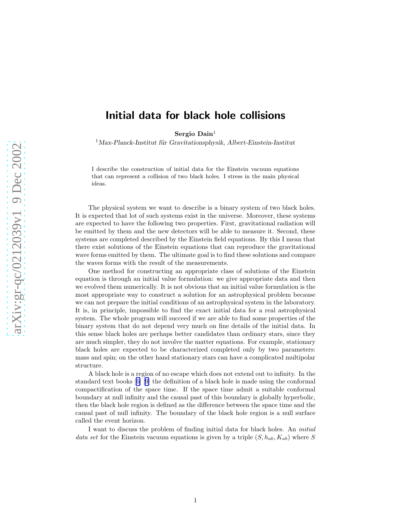## Initial data for black hole collisions

Sergio Dain 1

 $1$ Max-Planck-Institut für Gravitationsphysik, Albert-Einstein-Institut

I describe the construction of initial data for the Einstein vacuum equations that can represent a collision of two black holes. I stress in the main physical ideas.

The physical system we want to describe is a binary system of two black holes. It is expected that lot of such systems exist in the universe. Moreover, these systems are expected to have the following two properties. First, gravitational radiation will be emitted by them and the new detectors will be able to measure it. Second, these systems are completed described by the Einstein field equations. By this I mean that there exist solutions of the Einstein equations that can reproduce the gravitational wave forms emitted by them. The ultimate goal is to find these solutions and compare the waves forms with the result of the measurements.

One method for constructing an appropriate class of solutions of the Einstein equation is through an initial value formulation: we give appropriate data and then we evolved them numerically. It is not obvious that an initial value formulation is the most appropriate way to construct a solution for an astrophysical problem because we can not prepare the initial conditions of an astrophysical system in the laboratory. It is, in principle, impossible to find the exact initial data for a real astrophysical system. The whole program will succeed if we are able to find some properties of the binary system that do not depend very much on fine details of the initial data. In this sense black holes are perhaps better candidates than ordinary stars, since they are much simpler, they do not involve the matter equations. For example, stationary black holes are expected to be characterized completed only by two parameters: mass and spin; on the other hand stationary stars can have a complicated multipolar structure.

A black hole is a region of no escape which does not extend out to infinity. In the standard text books[[6\] \[9](#page-4-0)] the definition of a black hole is made using the conformal compactification of the space time. If the space time admit a suitable conformal boundary at null infinity and the causal past of this boundary is globally hyperbolic, then the black hole region is defined as the difference between the space time and the causal past of null infinity. The boundary of the black hole region is a null surface called the event horizon.

I want to discuss the problem of finding initial data for black holes. An initial data set for the Einstein vacuum equations is given by a triple  $(S, h_{ab}, K_{ab})$  where S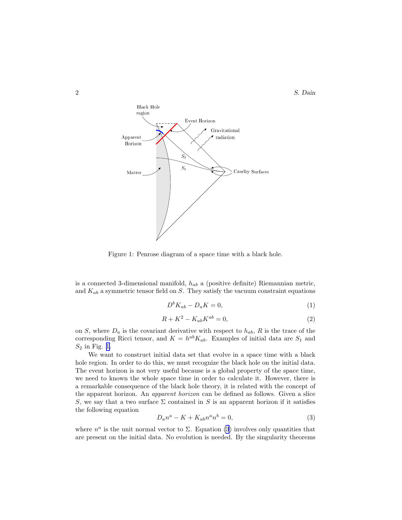<span id="page-1-0"></span>

Figure 1: Penrose diagram of a space time with a black hole.

is a connected 3-dimensional manifold,  $h_{ab}$  a (positive definite) Riemannian metric, and  $K_{ab}$  a symmetric tensor field on S. They satisfy the vacuum constraint equations

$$
D^b K_{ab} - D_a K = 0,\t\t(1)
$$

$$
R + K^2 - K_{ab} K^{ab} = 0,\t\t(2)
$$

on S, where  $D_a$  is the covariant derivative with respect to  $h_{ab}$ , R is the trace of the corresponding Ricci tensor, and  $K = h^{ab} K_{ab}$ . Examples of initial data are  $S_1$  and  $S_2$  in Fig. 1.

We want to construct initial data set that evolve in a space time with a black hole region. In order to do this, we must recognize the black hole on the initial data. The event horizon is not very useful because is a global property of the space time, we need to known the whole space time in order to calculate it. However, there is a remarkable consequence of the black hole theory, it is related with the concept of the apparent horizon. An apparent horizon can be defined as follows. Given a slice S, we say that a two surface  $\Sigma$  contained in S is an apparent horizon if it satisfies the following equation

$$
D_a n^a - K + K_{ab} n^a n^b = 0,\t\t(3)
$$

where  $n^a$  is the unit normal vector to  $\Sigma$ . Equation (3) involves only quantities that are present on the initial data. No evolution is needed. By the singularity theorems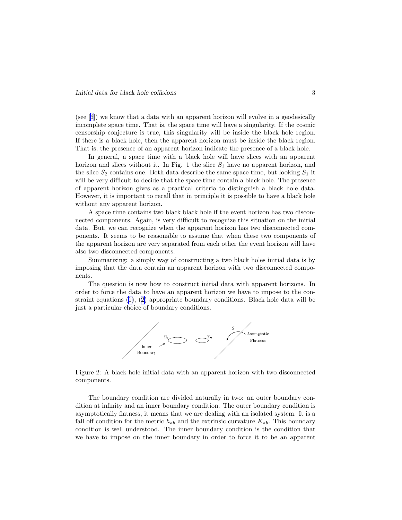(see[[6\]](#page-4-0)) we know that a data with an apparent horizon will evolve in a geodesically incomplete space time. That is, the space time will have a singularity. If the cosmic censorship conjecture is true, this singularity will be inside the black hole region. If there is a black hole, then the apparent horizon must be inside the black region. That is, the presence of an apparent horizon indicate the presence of a black hole.

In general, a space time with a black hole will have slices with an apparent horizon and slices without it. In Fig. 1 the slice  $S_1$  have no apparent horizon, and the slice  $S_2$  contains one. Both data describe the same space time, but looking  $S_1$  it will be very difficult to decide that the space time contain a black hole. The presence of apparent horizon gives as a practical criteria to distinguish a black hole data. However, it is important to recall that in principle it is possible to have a black hole without any apparent horizon.

A space time contains two black black hole if the event horizon has two disconnected components. Again, is very difficult to recognize this situation on the initial data. But, we can recognize when the apparent horizon has two disconnected components. It seems to be reasonable to assume that when these two components of the apparent horizon are very separated from each other the event horizon will have also two disconnected components.

Summarizing: a simply way of constructing a two black holes initial data is by imposing that the data contain an apparent horizon with two disconnected components.

The question is now how to construct initial data with apparent horizons. In order to force the data to have an apparent horizon we have to impose to the constraint equations([1\)](#page-1-0),([2\)](#page-1-0) appropriate boundary conditions. Black hole data will be just a particular choice of boundary conditions.



Figure 2: A black hole initial data with an apparent horizon with two disconnected components.

The boundary condition are divided naturally in two: an outer boundary condition at infinity and an inner boundary condition. The outer boundary condition is asymptotically flatness, it means that we are dealing with an isolated system. It is a fall off condition for the metric  $h_{ab}$  and the extrinsic curvature  $K_{ab}$ . This boundary condition is well understood. The inner boundary condition is the condition that we have to impose on the inner boundary in order to force it to be an apparent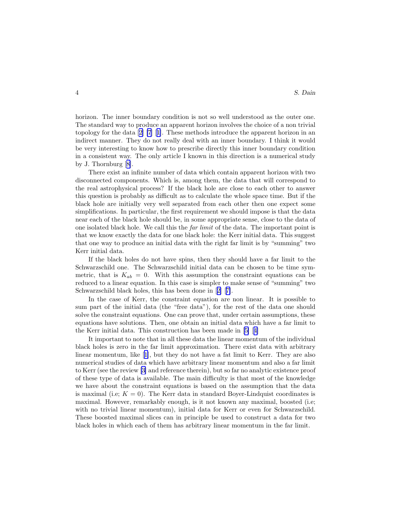horizon. The inner boundary condition is not so well understood as the outer one. The standard way to produce an apparent horizon involves the choice of a non trivial topology for the data[[2\] \[7](#page-4-0)][[1\]](#page-4-0). These methods introduce the apparent horizon in an indirect manner. They do not really deal with an inner boundary. I think it would be very interesting to know how to prescribe directly this inner boundary condition in a consistent way. The only article I known in this direction is a numerical study by J. Thornburg[[8\]](#page-4-0).

There exist an infinite number of data which contain apparent horizon with two disconnected components. Which is, among them, the data that will correspond to the real astrophysical process? If the black hole are close to each other to answer this question is probably as difficult as to calculate the whole space time. But if the black hole are initially very well separated from each other then one expect some simplifications. In particular, the first requirement we should impose is that the data near each of the black hole should be, in some appropriate sense, close to the data of one isolated black hole. We call this the *far limit* of the data. The important point is that we know exactly the data for one black hole: the Kerr initial data. This suggest that one way to produce an initial data with the right far limit is by "summing" two Kerr initial data.

If the black holes do not have spins, then they should have a far limit to the Schwarzschild one. The Schwarzschild initial data can be chosen to be time symmetric, that is  $K_{ab} = 0$ . With this assumption the constraint equations can be reduced to a linear equation. In this case is simpler to make sense of "summing" two Schwarzschild black holes, this has been done in[[2\]](#page-4-0) [[7\]](#page-4-0).

In the case of Kerr, the constraint equation are non linear. It is possible to sum part of the initial data (the "free data"), for the rest of the data one should solve the constraint equations. One can prove that, under certain assumptions, these equations have solutions. Then, one obtain an initial data which have a far limit to the Kerr initial data. This construction has been made in[[5\]](#page-4-0) [[4\]](#page-4-0)

It important to note that in all these data the linear momentum of the individual black holes is zero in the far limit approximation. There exist data with arbitrary linear momentum, like[[1\]](#page-4-0), but they do not have a fat limit to Kerr. They are also numerical studies of data which have arbitrary linear momentum and also a far limit to Kerr (see the review[[3\]](#page-4-0) and reference therein), but so far no analytic existence proof of these type of data is available. The main difficulty is that most of the knowledge we have about the constraint equations is based on the assumption that the data is maximal (i.e;  $K = 0$ ). The Kerr data in standard Boyer-Lindquist coordinates is maximal. However, remarkably enough, is it not known any maximal, boosted (i.e; with no trivial linear momentum), initial data for Kerr or even for Schwarzschild. These boosted maximal slices can in principle be used to construct a data for two black holes in which each of them has arbitrary linear momentum in the far limit.